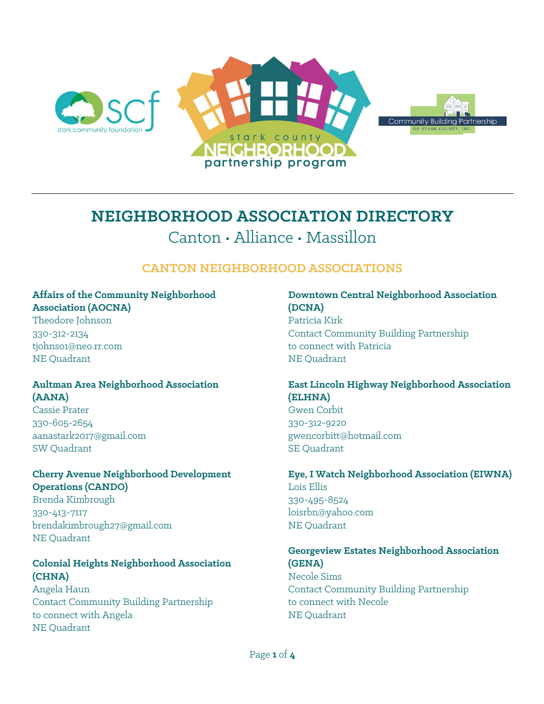

# **NEIGHBORHOOD ASSOCIATION DIRECTORY** Canton • Alliance • Massillon

# **CANTON NEIGHBORHOOD ASSOCIATIONS**

#### **Affairs of the Community Neighborhood Association (AOCNA)**

Theodore Johnson 330-312-2134 tjohnso1@neo.rr.com NE Quadrant

#### **Aultman Area Neighborhood Association (AANA)**

Cassie Prater 330-605-2654 aanastark2017@gmail.com SW Quadrant

## **Cherry Avenue Neighborhood Development Operations (CANDO)**

Brenda Kimbrough 330-413-7117 brendakimbrough27@gmail.com NE Quadrant

# **Colonial Heights Neighborhood Association (CHNA)**

Angela Haun Contact Community Building Partnership to connect with Angela NE Quadrant

#### **Downtown Central Neighborhood Association (DCNA)**

Patricia Kirk Contact Community Building Partnership to connect with Patricia NE Quadrant

# **East Lincoln Highway Neighborhood Association (ELHNA)**

Gwen Corbit 330-312-9220 gwencorbitt@hotmail.com SE Quadrant

**Eye, I Watch Neighborhood Association (EIWNA)** Lois Ellis 330-495-8524 loisrbn@yahoo.com NE Quadrant

## **Georgeview Estates Neighborhood Association (GENA)** Necole Sims

Contact Community Building Partnership to connect with Necole NE Quadrant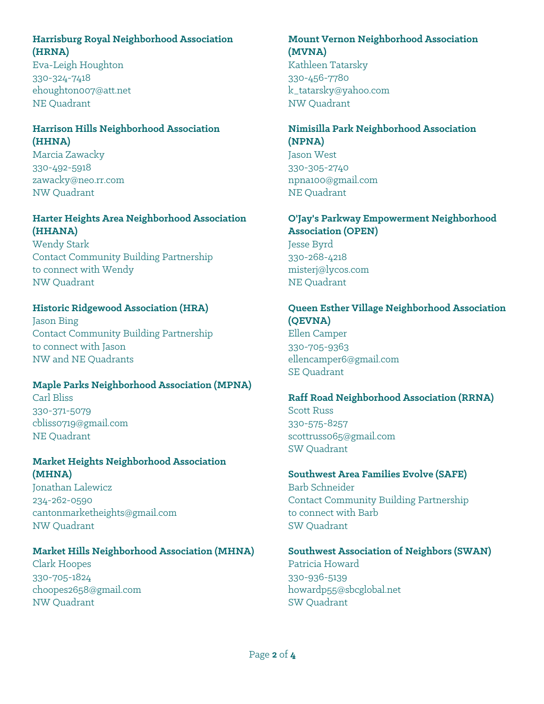# **Harrisburg Royal Neighborhood Association (HRNA)**

Eva-Leigh Houghton 330-324-7418 ehoughton007@att.net NE Quadrant

# **Harrison Hills Neighborhood Association (HHNA)**

Marcia Zawacky 330-492-5918 zawacky@neo.rr.com NW Quadrant

### **Harter Heights Area Neighborhood Association (HHANA)**

Wendy Stark Contact Community Building Partnership to connect with Wendy NW Quadrant

# **Historic Ridgewood Association (HRA)**

Jason Bing Contact Community Building Partnership to connect with Jason NW and NE Quadrants

## **Maple Parks Neighborhood Association (MPNA)**

Carl Bliss 330-371-5079 cbliss0719@gmail.com NE Quadrant

#### **Market Heights Neighborhood Association (MHNA)**

Jonathan Lalewicz 234-262-0590 cantonmarketheights@gmail.com NW Quadrant

## **Market Hills Neighborhood Association (MHNA)**

Clark Hoopes 330-705-1824 choopes2658@gmail.com NW Quadrant

#### **Mount Vernon Neighborhood Association (MVNA)**

Kathleen Tatarsky 330-456-7780 k\_tatarsky@yahoo.com NW Quadrant

# **Nimisilla Park Neighborhood Association (NPNA)**

Jason West 330-305-2740 npna100@gmail.com NE Quadrant

#### **O'Jay's Parkway Empowerment Neighborhood Association (OPEN)**

Jesse Byrd 330-268-4218 misterj@lycos.com NE Quadrant

#### **Queen Esther Village Neighborhood Association (QEVNA)** Ellen Camper

330-705-9363 ellencamper6@gmail.com SE Quadrant

## **Raff Road Neighborhood Association (RRNA)**

Scott Russ 330-575-8257 scottruss065@gmail.com SW Quadrant

#### **Southwest Area Families Evolve (SAFE)** Barb Schneider Contact Community Building Partnership to connect with Barb SW Quadrant

# **Southwest Association of Neighbors (SWAN)** Patricia Howard

330-936-5139 howardp55@sbcglobal.net SW Quadrant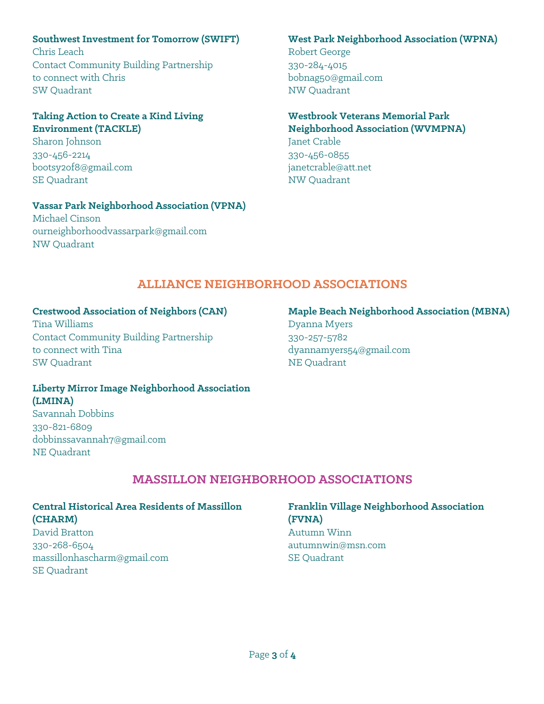### **Southwest Investment for Tomorrow (SWIFT)**

Chris Leach Contact Community Building Partnership to connect with Chris SW Quadrant

#### **Taking Action to Create a Kind Living Environment (TACKLE)**

Sharon Johnson 330-456-2214 bootsy2of8@gmail.com SE Quadrant

#### **Vassar Park Neighborhood Association (VPNA)**

Michael Cinson ourneighborhoodvassarpark@gmail.com NW Quadrant

#### **West Park Neighborhood Association (WPNA)**

Robert George 330-284-4015 bobnag50@gmail.com NW Quadrant

#### **Westbrook Veterans Memorial Park Neighborhood Association (WVMPNA)** Janet Crable

330-456-0855 janetcrable@att.net NW Quadrant

# **ALLIANCE NEIGHBORHOOD ASSOCIATIONS**

# **Crestwood Association of Neighbors (CAN)**

Tina Williams Contact Community Building Partnership to connect with Tina SW Quadrant

# **Maple Beach Neighborhood Association (MBNA)** Dyanna Myers 330-257-5782

dyannamyers54@gmail.com NE Quadrant

#### **Liberty Mirror Image Neighborhood Association (LMINA)** Savannah Dobbins 330-821-6809

dobbinssavannah7@gmail.com NE Quadrant

# **MASSILLON NEIGHBORHOOD ASSOCIATIONS**

# **Central Historical Area Residents of Massillon (CHARM)** David Bratton

330-268-6504 massillonhascharm@gmail.com SE Quadrant

# **Franklin Village Neighborhood Association (FVNA)**

Autumn Winn autumnwin@msn.com SE Quadrant